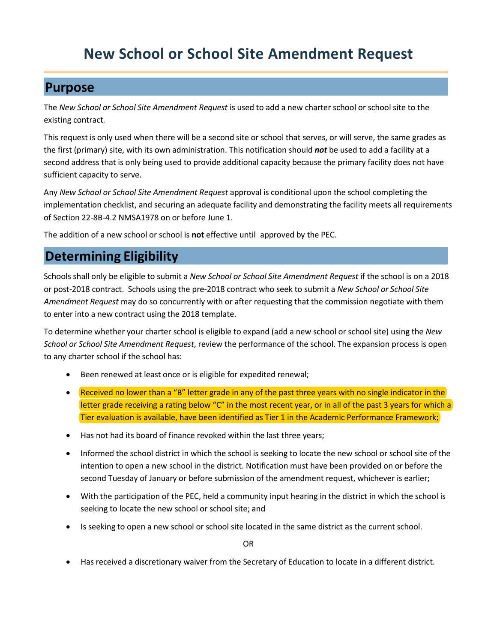# **New School or School Site Amendment Request**

### **Purpose**

The *New School or School Site Amendment Request* is used to add a new charter school or school site to the existing contract*.*

This request is only used when there will be a second site or school that serves, or will serve, the same grades as the first (primary) site, with its own administration. This notification should *not* be used to add a facility at a second address that is only being used to provide additional capacity because the primary facility does not have sufficient capacity to serve.

Any *New School or School Site Amendment Request* approval is conditional upon the school completing the implementation checklist, and securing an adequate facility and demonstrating the facility meets all requirements of Section 22-8B-4.2 NMSA1978 on or before June 1.

The addition of a new school or school is **not** effective until approved by the PEC.

## **Determining Eligibility**

Schools shall only be eligible to submit a *New School or School Site Amendment Request* if the school is on a 2018 or post-2018 contract. Schools using the pre-2018 contract who seek to submit a *New School or School Site Amendment Request* may do so concurrently with or after requesting that the commission negotiate with them to enter into a new contract using the 2018 template.

To determine whether your charter school is eligible to expand (add a new school or school site) using the *New School or School Site Amendment Request*, review the performance of the school. The expansion process is open to any charter school if the school has:

- Been renewed at least once or is eligible for expedited renewal;
- Received no lower than a "B" letter grade in any of the past three years with no single indicator in the letter grade receiving a rating below "C" in the most recent year, or in all of the past 3 years for which a Tier evaluation is available, have been identified as Tier 1 in the Academic Performance Framework;
- Has not had its board of finance revoked within the last three years;
- Informed the school district in which the school is seeking to locate the new school or school site of the intention to open a new school in the district. Notification must have been provided on or before the second Tuesday of January or before submission of the amendment request, whichever is earlier;
- With the participation of the PEC, held a community input hearing in the district in which the school is seeking to locate the new school or school site; and
- Is seeking to open a new school or school site located in the same district as the current school.

OR

• Has received a discretionary waiver from the Secretary of Education to locate in a different district.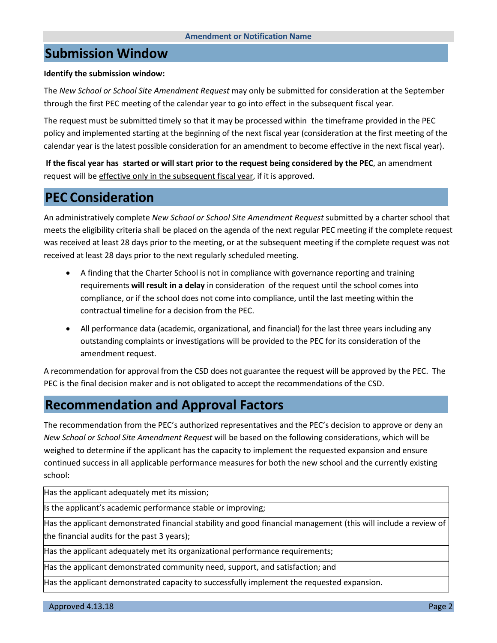### **Submission Window**

#### **Identify the submission window:**

The *New School or School Site Amendment Request* may only be submitted for consideration at the September through the first PEC meeting of the calendar year to go into effect in the subsequent fiscal year.

The request must be submitted timely so that it may be processed within the timeframe provided in the PEC policy and implemented starting at the beginning of the next fiscal year (consideration at the first meeting of the calendar year is the latest possible consideration for an amendment to become effective in the next fiscal year).

**If the fiscal year has started or will start prior to the request being considered by the PEC**, an amendment request will be effective only in the subsequent fiscal year, if it is approved.

### **PEC Consideration**

An administratively complete *New School or School Site Amendment Request* submitted by a charter school that meets the eligibility criteria shall be placed on the agenda of the next regular PEC meeting if the complete request was received at least 28 days prior to the meeting, or at the subsequent meeting if the complete request was not received at least 28 days prior to the next regularly scheduled meeting.

- A finding that the Charter School is not in compliance with governance reporting and training requirements **will result in a delay** in consideration of the request until the school comes into compliance, or if the school does not come into compliance, until the last meeting within the contractual timeline for a decision from the PEC.
- All performance data (academic, organizational, and financial) for the last three years including any outstanding complaints or investigations will be provided to the PEC for its consideration of the amendment request.

A recommendation for approval from the CSD does not guarantee the request will be approved by the PEC. The PEC is the final decision maker and is not obligated to accept the recommendations of the CSD.

### **Recommendation and Approval Factors**

The recommendation from the PEC's authorized representatives and the PEC's decision to approve or deny an *New School or School Site Amendment Request* will be based on the following considerations, which will be weighed to determine if the applicant has the capacity to implement the requested expansion and ensure continued success in all applicable performance measures for both the new school and the currently existing school:

Has the applicant adequately met its mission;

Is the applicant's academic performance stable or improving;

Has the applicant demonstrated financial stability and good financial management (this will include a review of the financial audits for the past 3 years);

Has the applicant adequately met its organizational performance requirements;

Has the applicant demonstrated community need, support, and satisfaction; and

Has the applicant demonstrated capacity to successfully implement the requested expansion.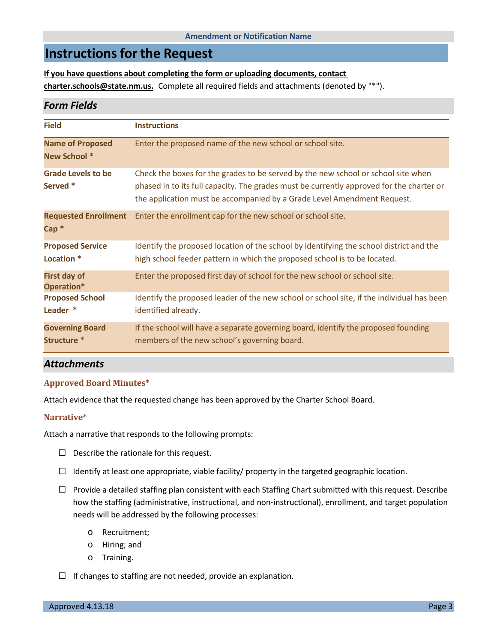#### **Amendment or Notification Name**

### **Instructions for the Request**

**If you have questions about completing the form or uploading documents, contact charter.schools@state.nm.us.** Complete all required fields and attachments (denoted by "\*").

#### *Form Fields*

| <b>Field</b>                                     | <b>Instructions</b>                                                                                                                                                                                                                                      |
|--------------------------------------------------|----------------------------------------------------------------------------------------------------------------------------------------------------------------------------------------------------------------------------------------------------------|
| <b>Name of Proposed</b><br>New School *          | Enter the proposed name of the new school or school site.                                                                                                                                                                                                |
| <b>Grade Levels to be</b><br>Served *            | Check the boxes for the grades to be served by the new school or school site when<br>phased in to its full capacity. The grades must be currently approved for the charter or<br>the application must be accompanied by a Grade Level Amendment Request. |
| <b>Requested Enrollment</b><br>$Cap^*$           | Enter the enrollment cap for the new school or school site.                                                                                                                                                                                              |
| <b>Proposed Service</b><br>Location <sup>*</sup> | Identify the proposed location of the school by identifying the school district and the<br>high school feeder pattern in which the proposed school is to be located.                                                                                     |
| <b>First day of</b><br>Operation*                | Enter the proposed first day of school for the new school or school site.                                                                                                                                                                                |
| <b>Proposed School</b><br>Leader *               | Identify the proposed leader of the new school or school site, if the individual has been<br>identified already.                                                                                                                                         |
| <b>Governing Board</b><br>Structure *            | If the school will have a separate governing board, identify the proposed founding<br>members of the new school's governing board.                                                                                                                       |

#### *Attachments*

#### **Approved Board Minutes\***

Attach evidence that the requested change has been approved by the Charter School Board.

#### **Narrative\***

Attach a narrative that responds to the following prompts:

- $\Box$  Describe the rationale for this request.
- $\Box$  Identify at least one appropriate, viable facility/ property in the targeted geographic location.
- $\Box$  Provide a detailed staffing plan consistent with each Staffing Chart submitted with this request. Describe how the staffing (administrative, instructional, and non-instructional), enrollment, and target population needs will be addressed by the following processes:
	- o Recruitment;
	- o Hiring; and
	- o Training.
- $\Box$  If changes to staffing are not needed, provide an explanation.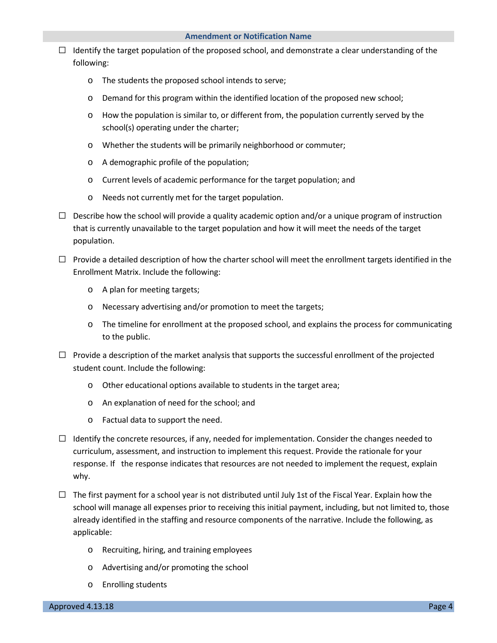- $\Box$  Identify the target population of the proposed school, and demonstrate a clear understanding of the following:
	- o The students the proposed school intends to serve;
	- o Demand for this program within the identified location of the proposed new school;
	- $\circ$  How the population is similar to, or different from, the population currently served by the school(s) operating under the charter;
	- o Whether the students will be primarily neighborhood or commuter;
	- o A demographic profile of the population;
	- o Current levels of academic performance for the target population; and
	- o Needs not currently met for the target population.
- $\Box$  Describe how the school will provide a quality academic option and/or a unique program of instruction that is currently unavailable to the target population and how it will meet the needs of the target population.
- $\Box$  Provide a detailed description of how the charter school will meet the enrollment targets identified in the Enrollment Matrix. Include the following:
	- o A plan for meeting targets;
	- o Necessary advertising and/or promotion to meet the targets;
	- o The timeline for enrollment at the proposed school, and explains the process for communicating to the public.
- $\Box$  Provide a description of the market analysis that supports the successful enrollment of the projected student count. Include the following:
	- o Other educational options available to students in the target area;
	- o An explanation of need for the school; and
	- o Factual data to support the need.
- $\Box$  Identify the concrete resources, if any, needed for implementation. Consider the changes needed to curriculum, assessment, and instruction to implement this request. Provide the rationale for your response. If the response indicates that resources are not needed to implement the request, explain why.
- $\Box$  The first payment for a school year is not distributed until July 1st of the Fiscal Year. Explain how the school will manage all expenses prior to receiving this initial payment, including, but not limited to, those already identified in the staffing and resource components of the narrative. Include the following, as applicable:
	- o Recruiting, hiring, and training employees
	- o Advertising and/or promoting the school
	- o Enrolling students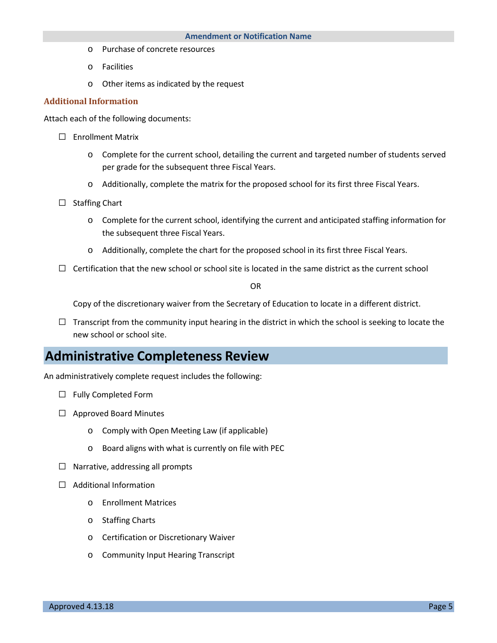- o Purchase of concrete resources
- o Facilities
- o Other items as indicated by the request

#### **Additional Information**

Attach each of the following documents:

- □ Enrollment Matrix
	- o Complete for the current school, detailing the current and targeted number of students served per grade for the subsequent three Fiscal Years.
	- o Additionally, complete the matrix for the proposed school for its first three Fiscal Years.
- □ Staffing Chart
	- o Complete for the current school, identifying the current and anticipated staffing information for the subsequent three Fiscal Years.
	- o Additionally, complete the chart for the proposed school in its first three Fiscal Years.
- $\Box$  Certification that the new school or school site is located in the same district as the current school

OR

Copy of the discretionary waiver from the Secretary of Education to locate in a different district.

 $\Box$  Transcript from the community input hearing in the district in which the school is seeking to locate the new school or school site.

### **Administrative Completeness Review**

An administratively complete request includes the following:

- □ Fully Completed Form
- □ Approved Board Minutes
	- o Comply with Open Meeting Law (if applicable)
	- o Board aligns with what is currently on file with PEC
- $\Box$  Narrative, addressing all prompts
- □ Additional Information
	- o Enrollment Matrices
	- o Staffing Charts
	- o Certification or Discretionary Waiver
	- o Community Input Hearing Transcript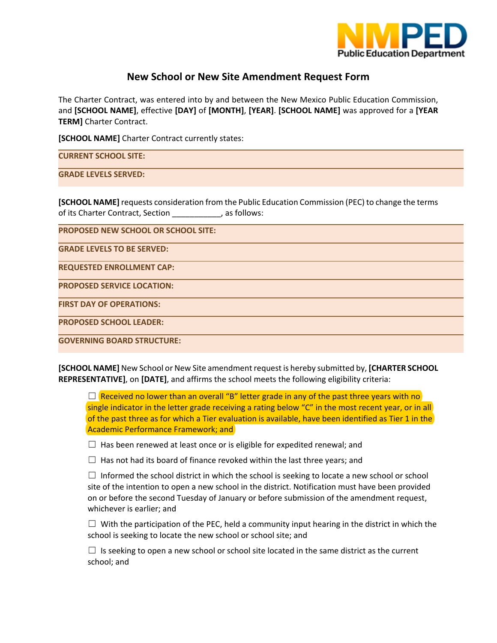

### **New School or New Site Amendment Request Form**

The Charter Contract, was entered into by and between the New Mexico Public Education Commission, and **[SCHOOL NAME]**, effective **[DAY]** of **[MONTH]**, **[YEAR]**. **[SCHOOL NAME]** was approved for a **[YEAR TERM]** Charter Contract.

**[SCHOOL NAME]** Charter Contract currently states:

**CURRENT SCHOOL SITE:**

**GRADE LEVELS SERVED:** 

**[SCHOOL NAME]** requests consideration from the Public Education Commission (PEC) to change the terms of its Charter Contract, Section \_\_\_\_\_\_\_\_\_\_\_, as follows:

**PROPOSED NEW SCHOOL OR SCHOOL SITE:**

**GRADE LEVELS TO BE SERVED:**

**REQUESTED ENROLLMENT CAP:**

**PROPOSED SERVICE LOCATION:**

**FIRST DAY OF OPERATIONS:**

**PROPOSED SCHOOL LEADER:**

**GOVERNING BOARD STRUCTURE:** 

**[SCHOOL NAME]** New School or New Site amendment request is hereby submitted by, **[CHARTER SCHOOL REPRESENTATIVE]**, on **[DATE]**, and affirms the school meets the following eligibility criteria:

 $\Box$  Received no lower than an overall "B" letter grade in any of the past three years with no single indicator in the letter grade receiving a rating below "C" in the most recent year, or in all of the past three as for which a Tier evaluation is available, have been identified as Tier 1 in the Academic Performance Framework; and

 $\Box$  Has been renewed at least once or is eligible for expedited renewal; and

 $\Box$  Has not had its board of finance revoked within the last three years; and

 $\Box$  Informed the school district in which the school is seeking to locate a new school or school site of the intention to open a new school in the district. Notification must have been provided on or before the second Tuesday of January or before submission of the amendment request, whichever is earlier; and

 $\Box$  With the participation of the PEC, held a community input hearing in the district in which the school is seeking to locate the new school or school site; and

 $\Box$  Is seeking to open a new school or school site located in the same district as the current school; and